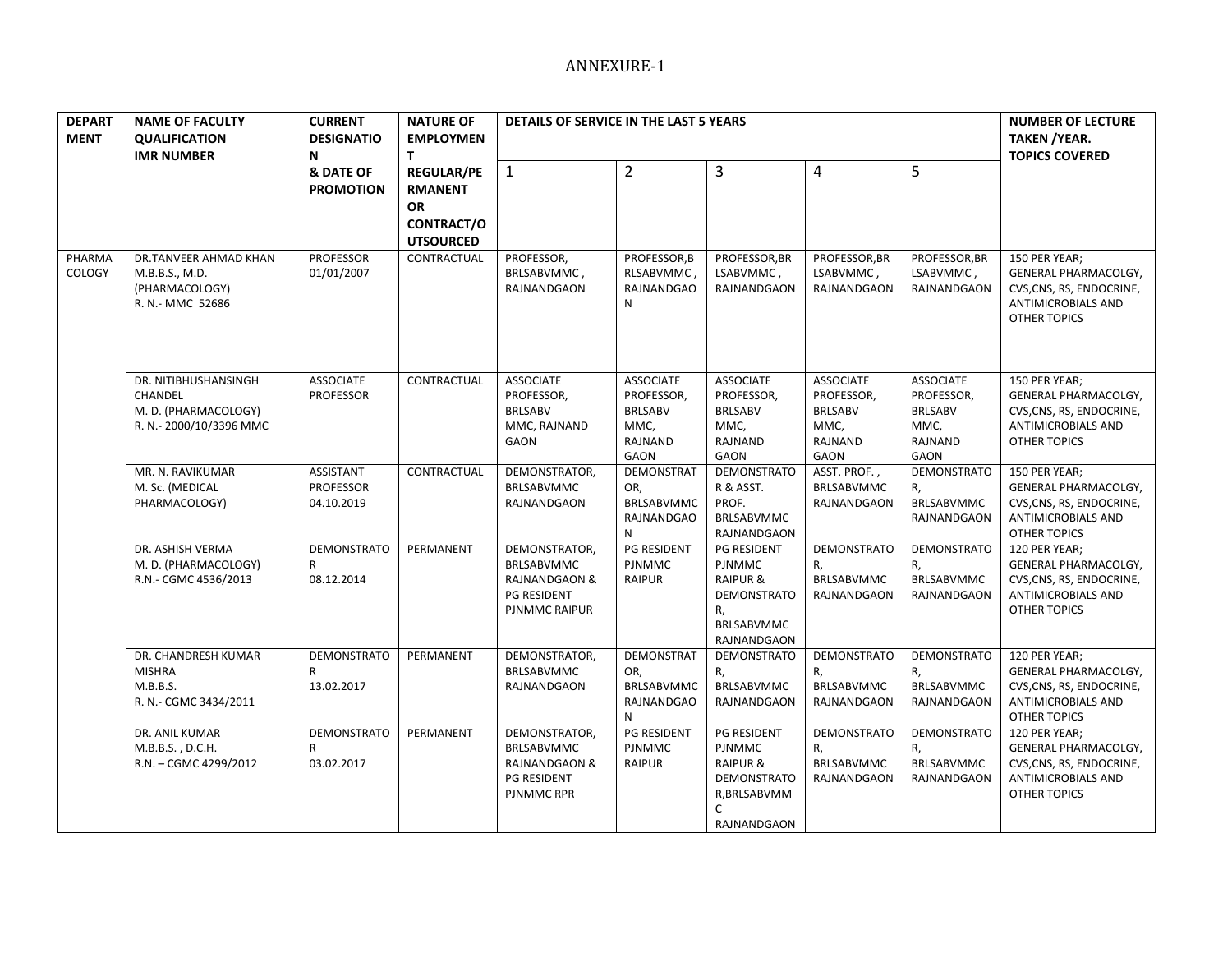| <b>DEPART</b><br><b>MENT</b> | <b>NAME OF FACULTY</b><br><b>QUALIFICATION</b><br><b>IMR NUMBER</b>                | <b>CURRENT</b><br><b>DESIGNATIO</b><br>N           | <b>NATURE OF</b><br><b>EMPLOYMEN</b><br>T.                                  | DETAILS OF SERVICE IN THE LAST 5 YEARS                                                     |                                                                             |                                                                                                                          |                                                                             |                                                                             | <b>NUMBER OF LECTURE</b><br><b>TAKEN / YEAR.</b><br><b>TOPICS COVERED</b>                                             |
|------------------------------|------------------------------------------------------------------------------------|----------------------------------------------------|-----------------------------------------------------------------------------|--------------------------------------------------------------------------------------------|-----------------------------------------------------------------------------|--------------------------------------------------------------------------------------------------------------------------|-----------------------------------------------------------------------------|-----------------------------------------------------------------------------|-----------------------------------------------------------------------------------------------------------------------|
|                              |                                                                                    | & DATE OF<br><b>PROMOTION</b>                      | <b>REGULAR/PE</b><br><b>RMANENT</b><br>OR<br>CONTRACT/O<br><b>UTSOURCED</b> | $\mathbf{1}$                                                                               | $\overline{2}$                                                              | 3                                                                                                                        | 4                                                                           | 5                                                                           |                                                                                                                       |
| PHARMA<br>COLOGY             | DR.TANVEER AHMAD KHAN<br>M.B.B.S., M.D.<br>(PHARMACOLOGY)<br>R. N.- MMC 52686      | <b>PROFESSOR</b><br>01/01/2007                     | CONTRACTUAL                                                                 | PROFESSOR,<br>BRLSABVMMC,<br>RAJNANDGAON                                                   | PROFESSOR, B<br>RLSABVMMC,<br>RAJNANDGAO<br>N                               | PROFESSOR, BR<br>LSABVMMC,<br>RAJNANDGAON                                                                                | PROFESSOR, BR<br>LSABVMMC,<br>RAJNANDGAON                                   | PROFESSOR, BR<br>LSABVMMC,<br>RAJNANDGAON                                   | 150 PER YEAR;<br>GENERAL PHARMACOLGY,<br>CVS, CNS, RS, ENDOCRINE,<br>ANTIMICROBIALS AND<br><b>OTHER TOPICS</b>        |
|                              | DR. NITIBHUSHANSINGH<br>CHANDEL<br>M. D. (PHARMACOLOGY)<br>R. N.- 2000/10/3396 MMC | <b>ASSOCIATE</b><br><b>PROFESSOR</b>               | CONTRACTUAL                                                                 | <b>ASSOCIATE</b><br>PROFESSOR,<br><b>BRLSABV</b><br>MMC, RAJNAND<br>GAON                   | <b>ASSOCIATE</b><br>PROFESSOR,<br><b>BRLSABV</b><br>MMC,<br>RAJNAND<br>GAON | <b>ASSOCIATE</b><br>PROFESSOR,<br><b>BRLSABV</b><br>MMC,<br>RAJNAND<br>GAON                                              | <b>ASSOCIATE</b><br>PROFESSOR,<br><b>BRLSABV</b><br>MMC,<br>RAJNAND<br>GAON | <b>ASSOCIATE</b><br>PROFESSOR,<br><b>BRLSABV</b><br>MMC,<br>RAJNAND<br>GAON | 150 PER YEAR;<br>GENERAL PHARMACOLGY,<br>CVS, CNS, RS, ENDOCRINE,<br>ANTIMICROBIALS AND<br><b>OTHER TOPICS</b>        |
|                              | MR. N. RAVIKUMAR<br>M. Sc. (MEDICAL<br>PHARMACOLOGY)                               | <b>ASSISTANT</b><br><b>PROFESSOR</b><br>04.10.2019 | CONTRACTUAL                                                                 | DEMONSTRATOR,<br><b>BRLSABVMMC</b><br>RAJNANDGAON                                          | <b>DEMONSTRAT</b><br>OR,<br>BRLSABVMMC<br>RAJNANDGAO<br>N                   | <b>DEMONSTRATO</b><br>R & ASST.<br>PROF.<br>BRLSABVMMC<br>RAJNANDGAON                                                    | ASST. PROF.,<br><b>BRLSABVMMC</b><br>RAJNANDGAON                            | DEMONSTRATO<br>R,<br><b>BRLSABVMMC</b><br>RAJNANDGAON                       | 150 PER YEAR;<br>GENERAL PHARMACOLGY,<br>CVS, CNS, RS, ENDOCRINE,<br><b>ANTIMICROBIALS AND</b><br><b>OTHER TOPICS</b> |
|                              | DR. ASHISH VERMA<br>M. D. (PHARMACOLOGY)<br>R.N.- CGMC 4536/2013                   | <b>DEMONSTRATO</b><br>R<br>08.12.2014              | PERMANENT                                                                   | DEMONSTRATOR,<br>BRLSABVMMC<br><b>RAJNANDGAON &amp;</b><br>PG RESIDENT<br>PJNMMC RAIPUR    | <b>PG RESIDENT</b><br><b>PJNMMC</b><br><b>RAIPUR</b>                        | PG RESIDENT<br><b>PJNMMC</b><br><b>RAIPUR &amp;</b><br>DEMONSTRATO<br>R,<br>BRLSABVMMC<br>RAJNANDGAON                    | DEMONSTRATO<br>R,<br><b>BRLSABVMMC</b><br>RAJNANDGAON                       | DEMONSTRATO<br>R,<br><b>BRLSABVMMC</b><br>RAJNANDGAON                       | 120 PER YEAR;<br>GENERAL PHARMACOLGY,<br>CVS, CNS, RS, ENDOCRINE,<br>ANTIMICROBIALS AND<br>OTHER TOPICS               |
|                              | DR. CHANDRESH KUMAR<br><b>MISHRA</b><br>M.B.B.S.<br>R. N.- CGMC 3434/2011          | <b>DEMONSTRATO</b><br>R<br>13.02.2017              | PERMANENT                                                                   | DEMONSTRATOR,<br><b>BRLSABVMMC</b><br>RAJNANDGAON                                          | <b>DEMONSTRAT</b><br>OR,<br><b>BRLSABVMMC</b><br>RAJNANDGAO<br>N            | <b>DEMONSTRATO</b><br>R,<br><b>BRLSABVMMC</b><br>RAJNANDGAON                                                             | DEMONSTRATO<br>R,<br>BRLSABVMMC<br>RAJNANDGAON                              | <b>DEMONSTRATO</b><br>R,<br><b>BRLSABVMMC</b><br>RAJNANDGAON                | 120 PER YEAR;<br>GENERAL PHARMACOLGY,<br>CVS, CNS, RS, ENDOCRINE,<br>ANTIMICROBIALS AND<br>OTHER TOPICS               |
|                              | DR. ANIL KUMAR<br>M.B.B.S., D.C.H.<br>R.N. - CGMC 4299/2012                        | <b>DEMONSTRATO</b><br>R<br>03.02.2017              | PERMANENT                                                                   | DEMONSTRATOR,<br>BRLSABVMMC<br><b>RAJNANDGAON &amp;</b><br>PG RESIDENT<br><b>PJNMMCRPR</b> | PG RESIDENT<br><b>PJNMMC</b><br>RAIPUR                                      | PG RESIDENT<br><b>PJNMMC</b><br><b>RAIPUR &amp;</b><br><b>DEMONSTRATO</b><br>R, BRLSABVMM<br>$\mathsf{C}$<br>RAJNANDGAON | DEMONSTRATO<br>R,<br>BRLSABVMMC<br>RAJNANDGAON                              | <b>DEMONSTRATO</b><br>R,<br><b>BRLSABVMMC</b><br>RAJNANDGAON                | 120 PER YEAR;<br>GENERAL PHARMACOLGY,<br>CVS, CNS, RS, ENDOCRINE,<br>ANTIMICROBIALS AND<br>OTHER TOPICS               |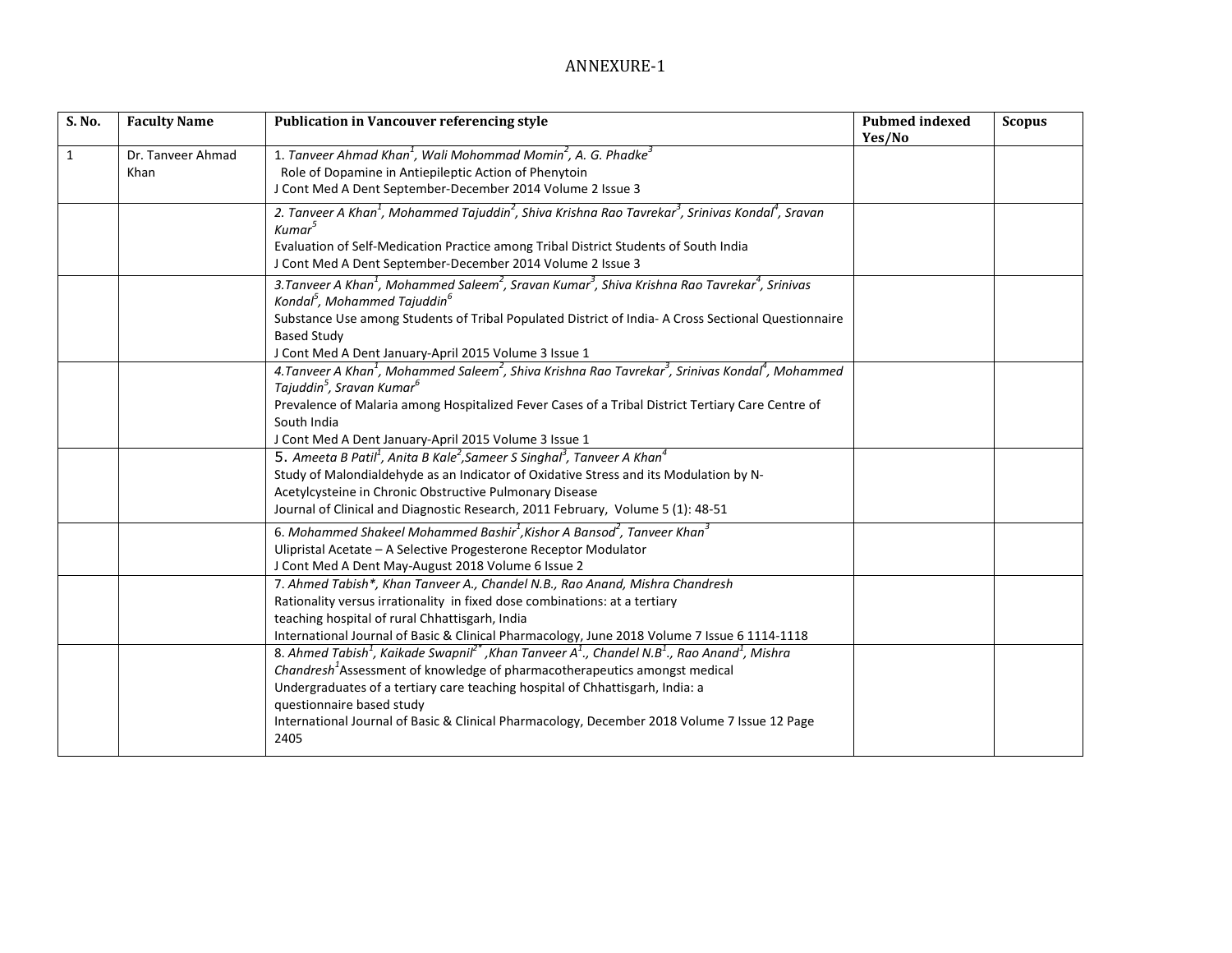| S. No.       | <b>Faculty Name</b>       | <b>Publication in Vancouver referencing style</b>                                                                                                                                                                                                                                                                                                                                                                                                                | <b>Pubmed indexed</b><br>Yes/No | <b>Scopus</b> |
|--------------|---------------------------|------------------------------------------------------------------------------------------------------------------------------------------------------------------------------------------------------------------------------------------------------------------------------------------------------------------------------------------------------------------------------------------------------------------------------------------------------------------|---------------------------------|---------------|
| $\mathbf{1}$ | Dr. Tanyeer Ahmad<br>Khan | 1. Tanveer Ahmad Khan <sup>1</sup> , Wali Mohommad Momin <sup>2</sup> , A. G. Phadke <sup>3</sup><br>Role of Dopamine in Antiepileptic Action of Phenytoin<br>J Cont Med A Dent September-December 2014 Volume 2 Issue 3                                                                                                                                                                                                                                         |                                 |               |
|              |                           | 2. Tanveer A Khan <sup>1</sup> , Mohammed Tajuddin <sup>2</sup> , Shiva Krishna Rao Tavrekar <sup>3</sup> , Srinivas Kondal <sup>4</sup> , Sravan<br>Kumar <sup>5</sup><br>Evaluation of Self-Medication Practice among Tribal District Students of South India<br>J Cont Med A Dent September-December 2014 Volume 2 Issue 3                                                                                                                                    |                                 |               |
|              |                           | 3. Tanveer A Khan <sup>1</sup> , Mohammed Saleem <sup>2</sup> , Sravan Kumar <sup>3</sup> , Shiva Krishna Rao Tavrekar <sup>4</sup> , Srinivas<br>Kondal <sup>5</sup> , Mohammed Tajuddin <sup>6</sup><br>Substance Use among Students of Tribal Populated District of India- A Cross Sectional Questionnaire<br><b>Based Study</b><br>J Cont Med A Dent January-April 2015 Volume 3 Issue 1                                                                     |                                 |               |
|              |                           | 4. Tanveer A Khan <sup>1</sup> , Mohammed Saleem <sup>2</sup> , Shiva Krishna Rao Tavrekar <sup>3</sup> , Srinivas Kondal <sup>4</sup> , Mohammed<br>Tajuddin <sup>5</sup> , Sravan Kumar <sup>6</sup><br>Prevalence of Malaria among Hospitalized Fever Cases of a Tribal District Tertiary Care Centre of<br>South India<br>J Cont Med A Dent January-April 2015 Volume 3 Issue 1                                                                              |                                 |               |
|              |                           | 5. Ameeta B Patil <sup>1</sup> , Anita B Kale <sup>2</sup> , Sameer S Singhal <sup>3</sup> , Tanveer A Khan <sup>4</sup><br>Study of Malondialdehyde as an Indicator of Oxidative Stress and its Modulation by N-<br>Acetylcysteine in Chronic Obstructive Pulmonary Disease<br>Journal of Clinical and Diagnostic Research, 2011 February, Volume 5 (1): 48-51                                                                                                  |                                 |               |
|              |                           | 6. Mohammed Shakeel Mohammed Bashir <sup>1</sup> , Kishor A Bansod <sup>2</sup> , Tanveer Khan <sup>3</sup><br>Ulipristal Acetate - A Selective Progesterone Receptor Modulator<br>J Cont Med A Dent May-August 2018 Volume 6 Issue 2                                                                                                                                                                                                                            |                                 |               |
|              |                           | 7. Ahmed Tabish*, Khan Tanveer A., Chandel N.B., Rao Anand, Mishra Chandresh<br>Rationality versus irrationality in fixed dose combinations: at a tertiary<br>teaching hospital of rural Chhattisgarh, India<br>International Journal of Basic & Clinical Pharmacology, June 2018 Volume 7 Issue 6 1114-1118                                                                                                                                                     |                                 |               |
|              |                           | 8. Ahmed Tabish <sup>1</sup> , Kaikade Swapnil <sup>2*</sup> , Khan Tanveer $A^1$ ., Chandel N.B <sup>1</sup> ., Rao Anand <sup>1</sup> , Mishra<br>Chandresh <sup>1</sup> Assessment of knowledge of pharmacotherapeutics amongst medical<br>Undergraduates of a tertiary care teaching hospital of Chhattisgarh, India: a<br>questionnaire based study<br>International Journal of Basic & Clinical Pharmacology, December 2018 Volume 7 Issue 12 Page<br>2405 |                                 |               |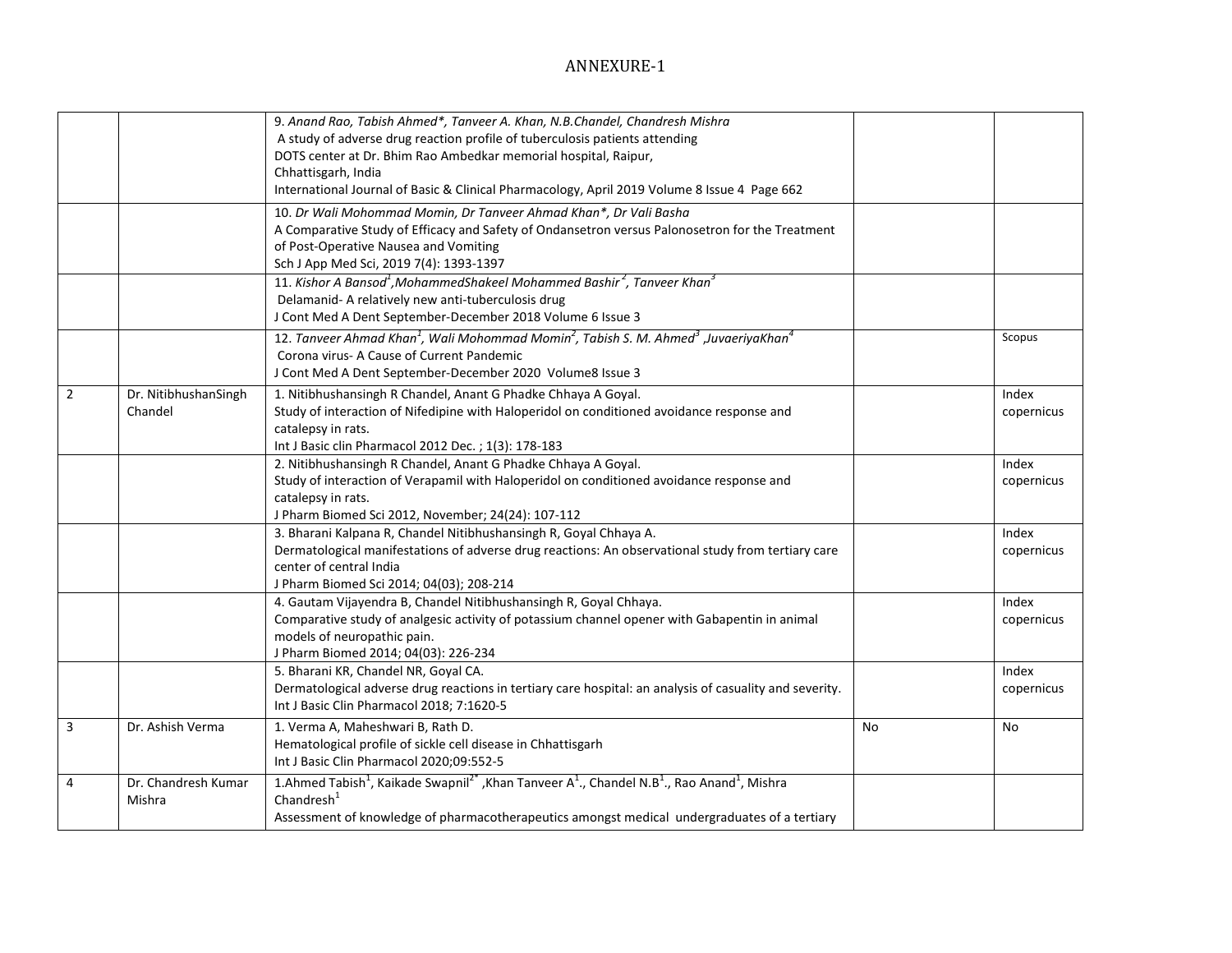|                |                                 | 9. Anand Rao, Tabish Ahmed*, Tanveer A. Khan, N.B.Chandel, Chandresh Mishra<br>A study of adverse drug reaction profile of tuberculosis patients attending<br>DOTS center at Dr. Bhim Rao Ambedkar memorial hospital, Raipur,<br>Chhattisgarh, India<br>International Journal of Basic & Clinical Pharmacology, April 2019 Volume 8 Issue 4 Page 662 |    |                     |
|----------------|---------------------------------|------------------------------------------------------------------------------------------------------------------------------------------------------------------------------------------------------------------------------------------------------------------------------------------------------------------------------------------------------|----|---------------------|
|                |                                 | 10. Dr Wali Mohommad Momin, Dr Tanveer Ahmad Khan*, Dr Vali Basha<br>A Comparative Study of Efficacy and Safety of Ondansetron versus Palonosetron for the Treatment<br>of Post-Operative Nausea and Vomiting<br>Sch J App Med Sci, 2019 7(4): 1393-1397                                                                                             |    |                     |
|                |                                 | 11. Kishor A Bansod <sup>1</sup> , Mohammed Shakeel Mohammed Bashir <sup>2</sup> , Tanveer Khan <sup>3</sup><br>Delamanid-A relatively new anti-tuberculosis drug<br>J Cont Med A Dent September-December 2018 Volume 6 Issue 3                                                                                                                      |    |                     |
|                |                                 | 12. Tanveer Ahmad Khan <sup>1</sup> , Wali Mohommad Momin <sup>2</sup> , Tabish S. M. Ahmed <sup>3</sup> , JuvaeriyaKhan <sup>4</sup><br>Corona virus- A Cause of Current Pandemic<br>J Cont Med A Dent September-December 2020 Volume8 Issue 3                                                                                                      |    | Scopus              |
| $\overline{2}$ | Dr. NitibhushanSingh<br>Chandel | 1. Nitibhushansingh R Chandel, Anant G Phadke Chhaya A Goyal.<br>Study of interaction of Nifedipine with Haloperidol on conditioned avoidance response and<br>catalepsy in rats.<br>Int J Basic clin Pharmacol 2012 Dec. ; 1(3): 178-183                                                                                                             |    | Index<br>copernicus |
|                |                                 | 2. Nitibhushansingh R Chandel, Anant G Phadke Chhaya A Goyal.<br>Study of interaction of Verapamil with Haloperidol on conditioned avoidance response and<br>catalepsy in rats.<br>J Pharm Biomed Sci 2012, November; 24(24): 107-112                                                                                                                |    | Index<br>copernicus |
|                |                                 | 3. Bharani Kalpana R, Chandel Nitibhushansingh R, Goyal Chhaya A.<br>Dermatological manifestations of adverse drug reactions: An observational study from tertiary care<br>center of central India<br>J Pharm Biomed Sci 2014; 04(03); 208-214                                                                                                       |    | Index<br>copernicus |
|                |                                 | 4. Gautam Vijayendra B, Chandel Nitibhushansingh R, Goyal Chhaya.<br>Comparative study of analgesic activity of potassium channel opener with Gabapentin in animal<br>models of neuropathic pain.<br>J Pharm Biomed 2014; 04(03): 226-234                                                                                                            |    | Index<br>copernicus |
|                |                                 | 5. Bharani KR, Chandel NR, Goyal CA.<br>Dermatological adverse drug reactions in tertiary care hospital: an analysis of casuality and severity.<br>Int J Basic Clin Pharmacol 2018; 7:1620-5                                                                                                                                                         |    | Index<br>copernicus |
| 3              | Dr. Ashish Verma                | 1. Verma A, Maheshwari B, Rath D.<br>Hematological profile of sickle cell disease in Chhattisgarh<br>Int J Basic Clin Pharmacol 2020;09:552-5                                                                                                                                                                                                        | No | No                  |
| 4              | Dr. Chandresh Kumar<br>Mishra   | 1.Ahmed Tabish <sup>1</sup> , Kaikade Swapnil <sup>2*</sup> , Khan Tanveer A <sup>1</sup> ., Chandel N.B <sup>1</sup> ., Rao Anand <sup>1</sup> , Mishra<br>Chandresh <sup>1</sup><br>Assessment of knowledge of pharmacotherapeutics amongst medical undergraduates of a tertiary                                                                   |    |                     |